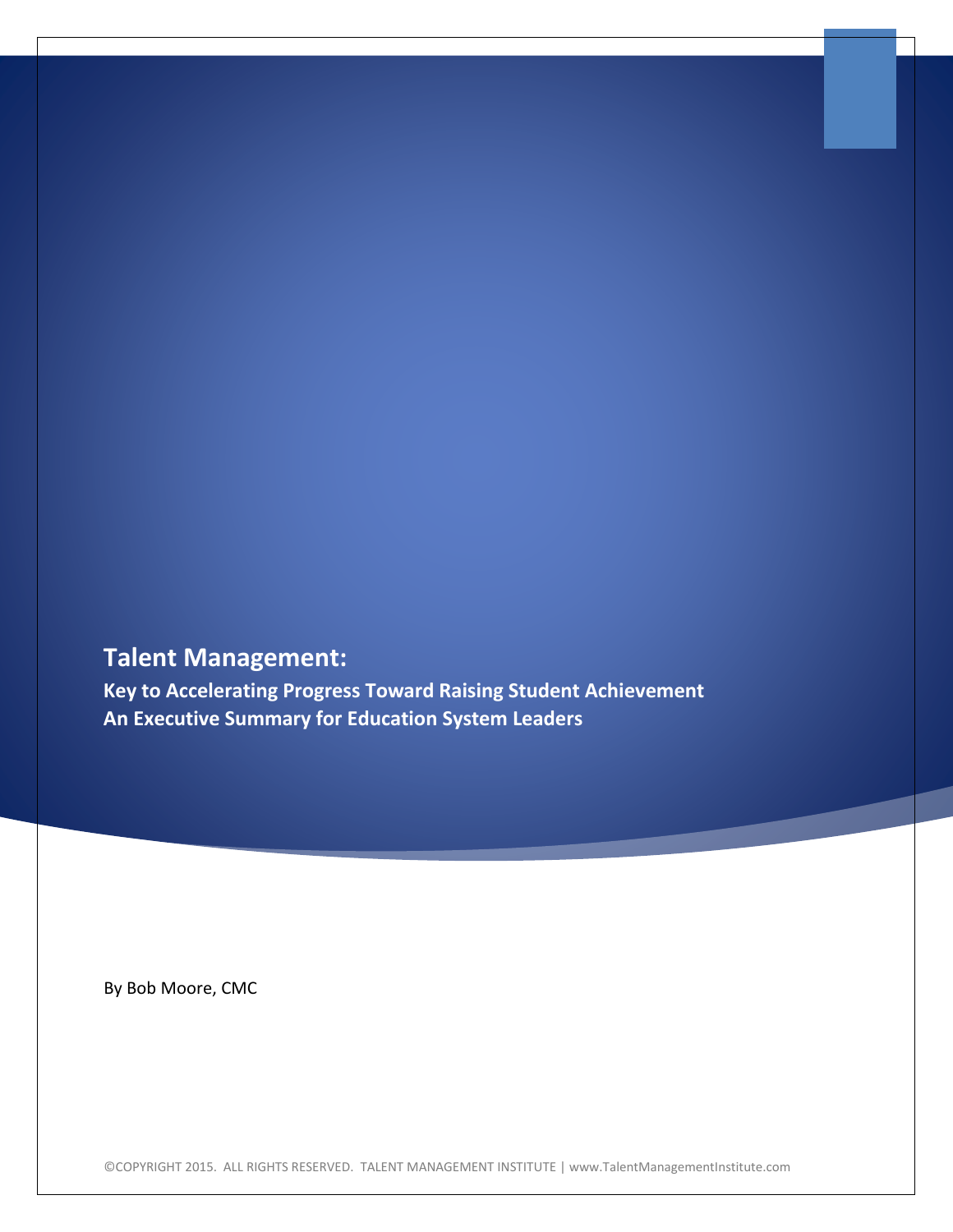# **Talent Management:**

**Key to Accelerating Progress Toward Raising Student Achievement An Executive Summary for Education System Leaders**

By Bob Moore, CMC

©COPYRIGHT 2015. ALL RIGHTS RESERVED. TALENT MANAGEMENT INSTITUTE | www.TalentManagementInstitute.com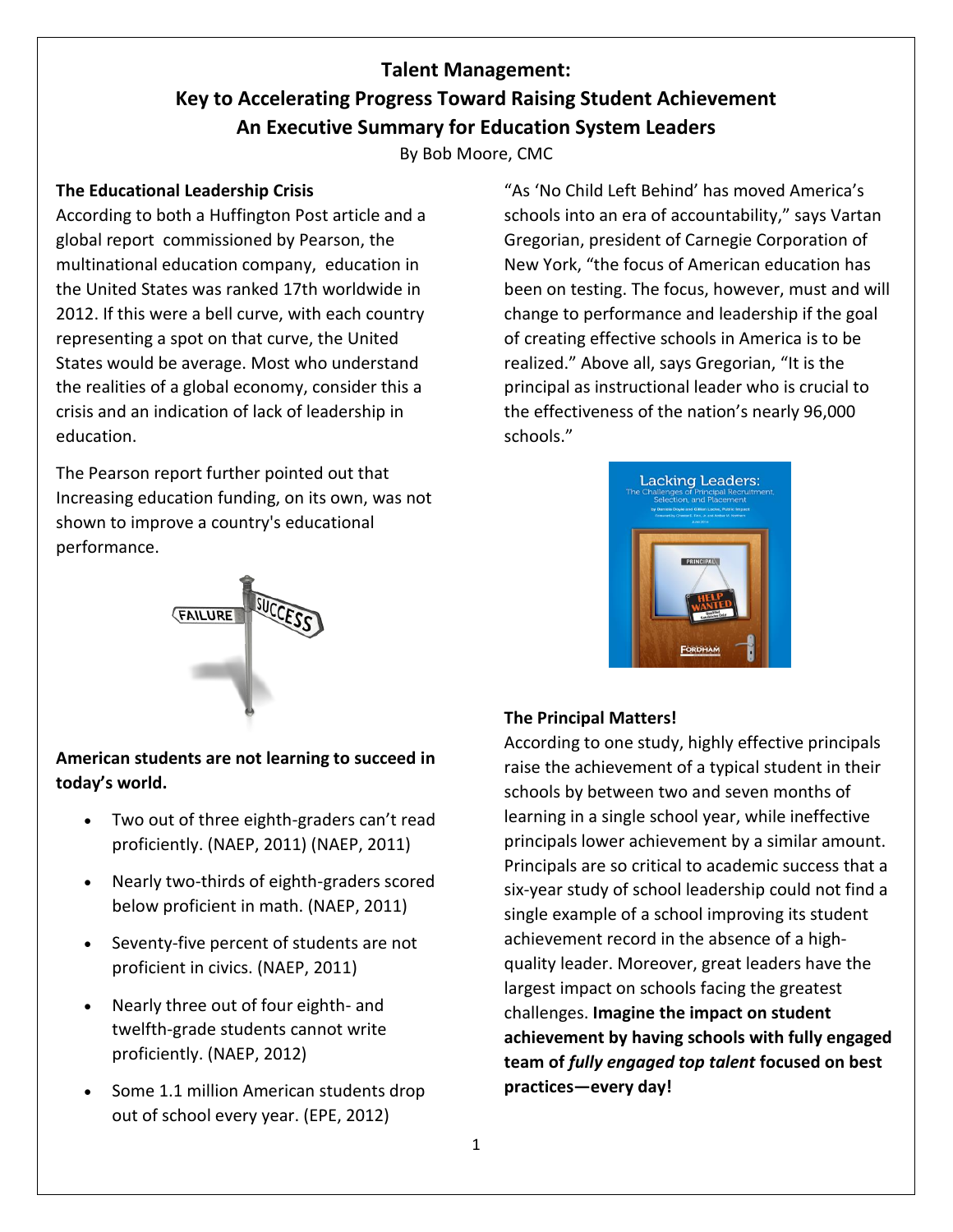# **Talent Management: Key to Accelerating Progress Toward Raising Student Achievement An Executive Summary for Education System Leaders**

By Bob Moore, CMC

## **The Educational Leadership Crisis**

According to both a Huffington Post article and a global report commissioned by Pearson, the multinational education company, education in the United States was ranked 17th worldwide in 2012. If this were a bell curve, with each country representing a spot on that curve, the United States would be average. Most who understand the realities of a global economy, consider this a crisis and an indication of lack of leadership in education.

The Pearson report further pointed out that Increasing education funding, on its own, was not shown to improve a country's educational performance.

"As 'No Child Left Behind' has moved America's schools into an era of accountability," says Vartan Gregorian, president of Carnegie Corporation of New York, "the focus of American education has been on testing. The focus, however, must and will change to performance and leadership if the goal of creating effective schools in America is to be realized." Above all, says Gregorian, "It is the principal as instructional leader who is crucial to the effectiveness of the nation's nearly 96,000 schools."



# **FAILURE**

# **American students are not learning to succeed in today's world.**

- Two out of three eighth-graders can't read proficiently. (NAEP, 2011) (NAEP, 2011)
- Nearly two-thirds of eighth-graders scored below proficient in math. (NAEP, 2011)
- Seventy-five percent of students are not proficient in civics. (NAEP, 2011)
- Nearly three out of four eighth- and twelfth-grade students cannot write proficiently. (NAEP, 2012)
- Some 1.1 million American students drop out of school every year. (EPE, 2012)

# **The Principal Matters!**

According to one study, highly effective principals raise the achievement of a typical student in their schools by between two and seven months of learning in a single school year, while ineffective principals lower achievement by a similar amount. Principals are so critical to academic success that a six-year study of school leadership could not find a single example of a school improving its student achievement record in the absence of a highquality leader. Moreover, great leaders have the largest impact on schools facing the greatest challenges. **Imagine the impact on student achievement by having schools with fully engaged team of** *fully engaged top talent* **focused on best practices—every day!**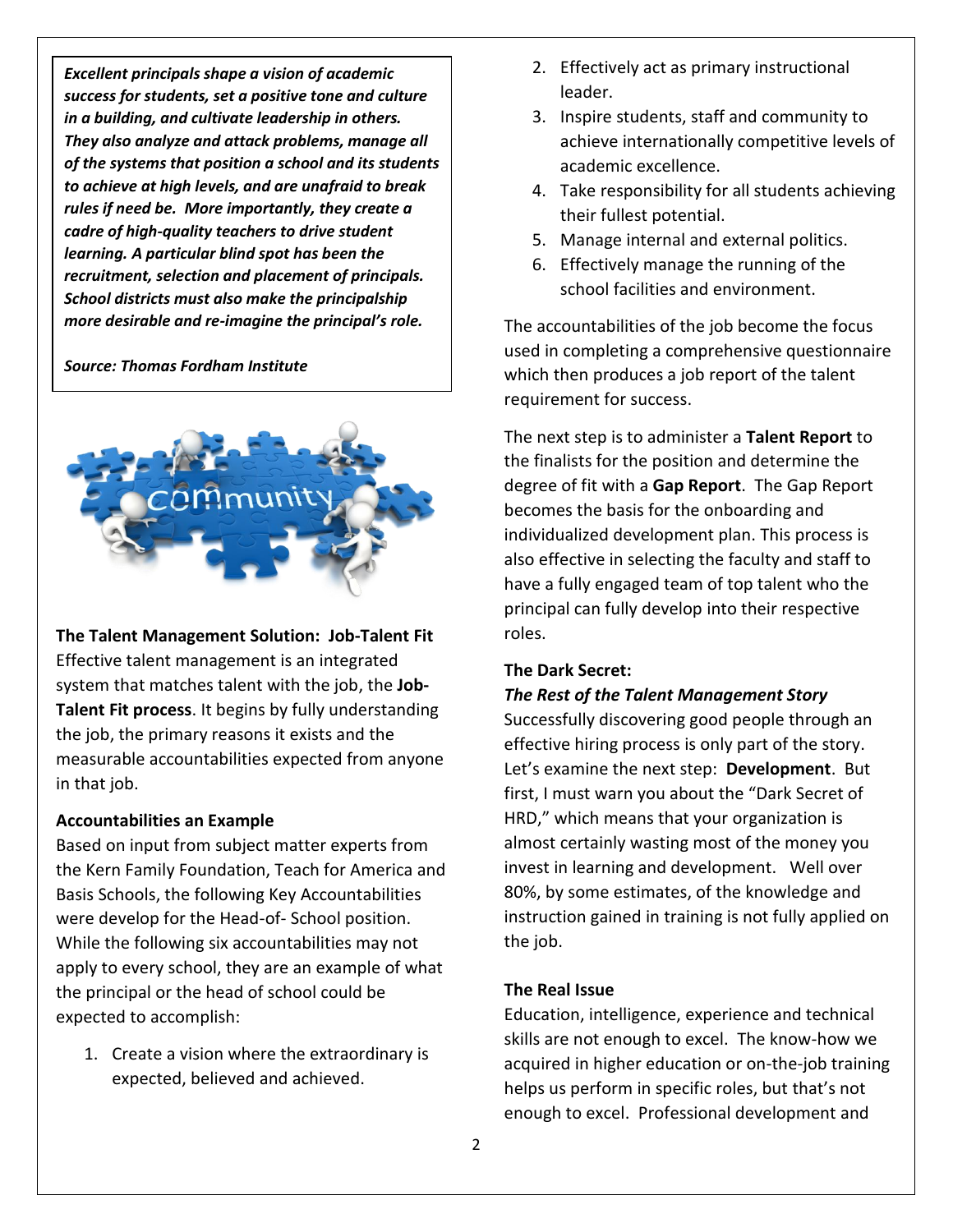*Excellent principals shape a vision of academic success for students, set a positive tone and culture in a building, and cultivate leadership in others. They also analyze and attack problems, manage all of the systems that position a school and its students to achieve at high levels, and are unafraid to break rules if need be. More importantly, they create a cadre of high-quality teachers to drive student learning. A particular blind spot has been the recruitment, selection and placement of principals. School districts must also make the principalship more desirable and re-imagine the principal's role.*

#### *Source: Thomas Fordham Institute*



**The Talent Management Solution: Job-Talent Fit** Effective talent management is an integrated system that matches talent with the job, the **Job-Talent Fit process**. It begins by fully understanding the job, the primary reasons it exists and the measurable accountabilities expected from anyone in that job.

#### **Accountabilities an Example**

Based on input from subject matter experts from the Kern Family Foundation, Teach for America and Basis Schools, the following Key Accountabilities were develop for the Head-of- School position. While the following six accountabilities may not apply to every school, they are an example of what the principal or the head of school could be expected to accomplish:

1. Create a vision where the extraordinary is expected, believed and achieved.

- 2. Effectively act as primary instructional leader.
- 3. Inspire students, staff and community to achieve internationally competitive levels of academic excellence.
- 4. Take responsibility for all students achieving their fullest potential.
- 5. Manage internal and external politics.
- 6. Effectively manage the running of the school facilities and environment.

The accountabilities of the job become the focus used in completing a comprehensive questionnaire which then produces a job report of the talent requirement for success.

The next step is to administer a **Talent Report** to the finalists for the position and determine the degree of fit with a **Gap Report**. The Gap Report becomes the basis for the onboarding and individualized development plan. This process is also effective in selecting the faculty and staff to have a fully engaged team of top talent who the principal can fully develop into their respective roles.

#### **The Dark Secret:**

#### *The Rest of the Talent Management Story*

Successfully discovering good people through an effective hiring process is only part of the story. Let's examine the next step: **Development**. But first, I must warn you about the "Dark Secret of HRD," which means that your organization is almost certainly wasting most of the money you invest in learning and development. Well over 80%, by some estimates, of the knowledge and instruction gained in training is not fully applied on the job.

#### **The Real Issue**

Education, intelligence, experience and technical skills are not enough to excel. The know-how we acquired in higher education or on-the-job training helps us perform in specific roles, but that's not enough to excel. Professional development and